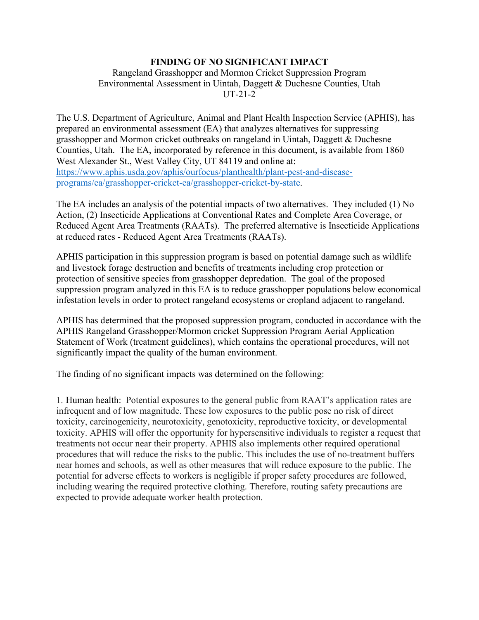## **FINDING OF NO SIGNIFICANT IMPACT**

## Rangeland Grasshopper and Mormon Cricket Suppression Program Environmental Assessment in Uintah, Daggett & Duchesne Counties, Utah UT-21-2

The U.S. Department of Agriculture, Animal and Plant Health Inspection Service (APHIS), has prepared an environmental assessment (EA) that analyzes alternatives for suppressing grasshopper and Mormon cricket outbreaks on rangeland in Uintah, Daggett & Duchesne Counties, Utah. The EA, incorporated by reference in this document, is available from 1860 West Alexander St., West Valley City, UT 84119 and online at: [https://www.aphis.usda.gov/aphis/ourfocus/planthealth/plant-pest-and-disease](https://www.aphis.usda.gov/aphis/ourfocus/planthealth/plant-pest-and-disease-programs/ea/grasshopper-cricket-ea/grasshopper-cricket-by-state)[programs/ea/grasshopper-cricket-ea/grasshopper-cricket-by-state.](https://www.aphis.usda.gov/aphis/ourfocus/planthealth/plant-pest-and-disease-programs/ea/grasshopper-cricket-ea/grasshopper-cricket-by-state)

The EA includes an analysis of the potential impacts of two alternatives. They included (1) No Action, (2) Insecticide Applications at Conventional Rates and Complete Area Coverage, or Reduced Agent Area Treatments (RAATs). The preferred alternative is Insecticide Applications at reduced rates - Reduced Agent Area Treatments (RAATs).

APHIS participation in this suppression program is based on potential damage such as wildlife and livestock forage destruction and benefits of treatments including crop protection or protection of sensitive species from grasshopper depredation. The goal of the proposed suppression program analyzed in this EA is to reduce grasshopper populations below economical infestation levels in order to protect rangeland ecosystems or cropland adjacent to rangeland.

APHIS has determined that the proposed suppression program, conducted in accordance with the APHIS Rangeland Grasshopper/Mormon cricket Suppression Program Aerial Application Statement of Work (treatment guidelines), which contains the operational procedures, will not significantly impact the quality of the human environment.

The finding of no significant impacts was determined on the following:

1. Human health: Potential exposures to the general public from RAAT's application rates are infrequent and of low magnitude. These low exposures to the public pose no risk of direct toxicity, carcinogenicity, neurotoxicity, genotoxicity, reproductive toxicity, or developmental toxicity. APHIS will offer the opportunity for hypersensitive individuals to register a request that treatments not occur near their property. APHIS also implements other required operational procedures that will reduce the risks to the public. This includes the use of no-treatment buffers near homes and schools, as well as other measures that will reduce exposure to the public. The potential for adverse effects to workers is negligible if proper safety procedures are followed, including wearing the required protective clothing. Therefore, routing safety precautions are expected to provide adequate worker health protection.